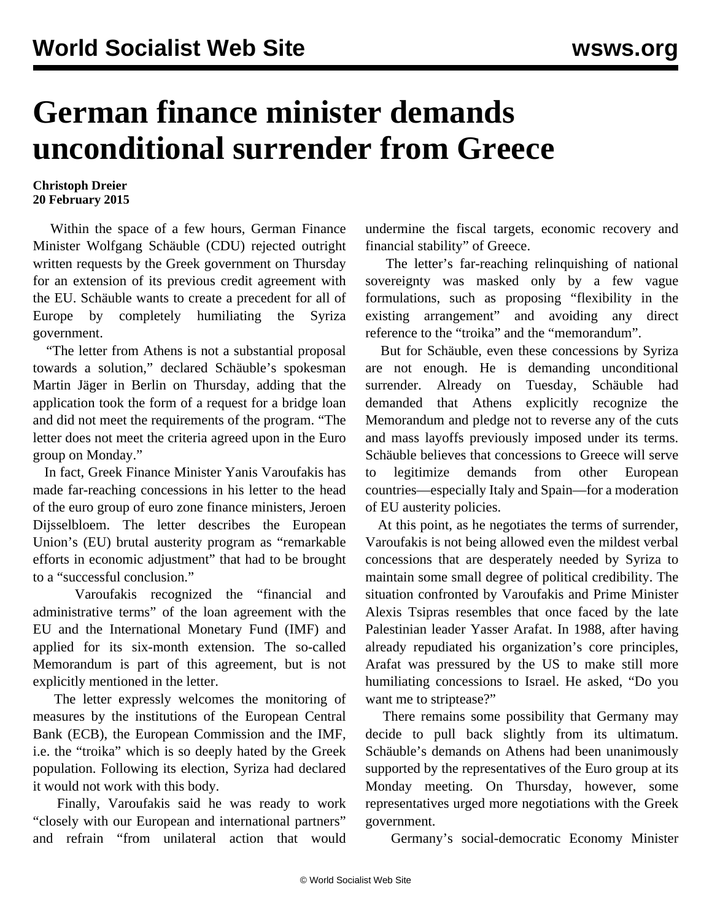## **German finance minister demands unconditional surrender from Greece**

## **Christoph Dreier 20 February 2015**

 Within the space of a few hours, German Finance Minister Wolfgang Schäuble (CDU) rejected outright written requests by the Greek government on Thursday for an extension of its previous credit agreement with the EU. Schäuble wants to create a precedent for all of Europe by completely humiliating the Syriza government.

 "The letter from Athens is not a substantial proposal towards a solution," declared Schäuble's spokesman Martin Jäger in Berlin on Thursday, adding that the application took the form of a request for a bridge loan and did not meet the requirements of the program. "The letter does not meet the criteria agreed upon in the Euro group on Monday."

 In fact, Greek Finance Minister Yanis Varoufakis has made far-reaching concessions in his letter to the head of the euro group of euro zone finance ministers, Jeroen Dijsselbloem. The letter describes the European Union's (EU) brutal austerity program as "remarkable efforts in economic adjustment" that had to be brought to a "successful conclusion."

 Varoufakis recognized the "financial and administrative terms" of the loan agreement with the EU and the International Monetary Fund (IMF) and applied for its six-month extension. The so-called Memorandum is part of this agreement, but is not explicitly mentioned in the letter.

 The letter expressly welcomes the monitoring of measures by the institutions of the European Central Bank (ECB), the European Commission and the IMF, i.e. the "troika" which is so deeply hated by the Greek population. Following its election, Syriza had declared it would not work with this body.

 Finally, Varoufakis said he was ready to work "closely with our European and international partners" and refrain "from unilateral action that would undermine the fiscal targets, economic recovery and financial stability" of Greece.

 The letter's far-reaching relinquishing of national sovereignty was masked only by a few vague formulations, such as proposing "flexibility in the existing arrangement" and avoiding any direct reference to the "troika" and the "memorandum".

 But for Schäuble, even these concessions by Syriza are not enough. He is demanding unconditional surrender. Already on Tuesday, Schäuble had demanded that Athens explicitly recognize the Memorandum and pledge not to reverse any of the cuts and mass layoffs previously imposed under its terms. Schäuble believes that concessions to Greece will serve to legitimize demands from other European countries—especially Italy and Spain—for a moderation of EU austerity policies.

 At this point, as he negotiates the terms of surrender, Varoufakis is not being allowed even the mildest verbal concessions that are desperately needed by Syriza to maintain some small degree of political credibility. The situation confronted by Varoufakis and Prime Minister Alexis Tsipras resembles that once faced by the late Palestinian leader Yasser Arafat. In 1988, after having already repudiated his organization's core principles, Arafat was pressured by the US to make still more humiliating concessions to Israel. He asked, "Do you want me to striptease?"

 There remains some possibility that Germany may decide to pull back slightly from its ultimatum. Schäuble's demands on Athens had been unanimously supported by the representatives of the Euro group at its Monday meeting. On Thursday, however, some representatives urged more negotiations with the Greek government.

Germany's social-democratic Economy Minister